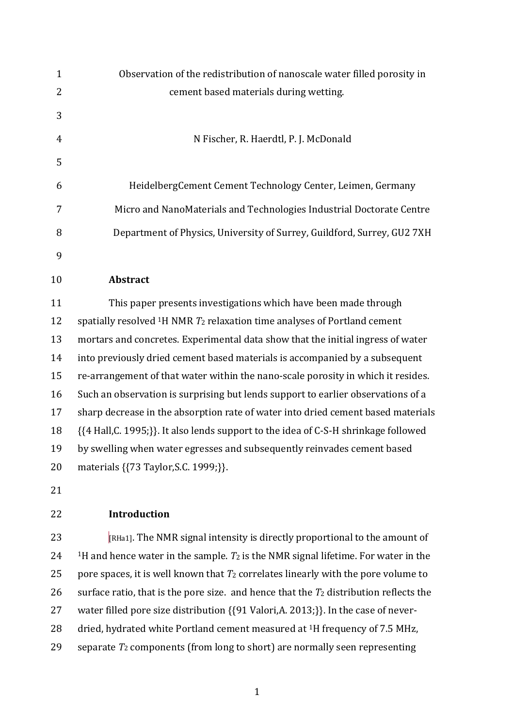| $\mathbf{1}$ | Observation of the redistribution of nanoscale water filled porosity in                          |
|--------------|--------------------------------------------------------------------------------------------------|
| 2            | cement based materials during wetting.                                                           |
| 3            |                                                                                                  |
| 4            | N Fischer, R. Haerdtl, P. J. McDonald                                                            |
| 5            |                                                                                                  |
| 6            | HeidelbergCement Cement Technology Center, Leimen, Germany                                       |
| 7            | Micro and NanoMaterials and Technologies Industrial Doctorate Centre                             |
| 8            | Department of Physics, University of Surrey, Guildford, Surrey, GU2 7XH                          |
| 9            |                                                                                                  |
| 10           | Abstract                                                                                         |
| 11           | This paper presents investigations which have been made through                                  |
| 12           | spatially resolved $1H NMR$ $T_2$ relaxation time analyses of Portland cement                    |
| 13           | mortars and concretes. Experimental data show that the initial ingress of water                  |
| 14           | into previously dried cement based materials is accompanied by a subsequent                      |
| 15           | re-arrangement of that water within the nano-scale porosity in which it resides.                 |
| 16           | Such an observation is surprising but lends support to earlier observations of a                 |
| 17           | sharp decrease in the absorption rate of water into dried cement based materials                 |
| 18           | {{4 Hall, C. 1995;}}. It also lends support to the idea of C-S-H shrinkage followed              |
| 19           | by swelling when water egresses and subsequently reinvades cement based                          |
| 20           | materials { {73 Taylor, S.C. 1999; } }.                                                          |
| 21           |                                                                                                  |
| 22           | Introduction                                                                                     |
| 23           | $\vert$ RHa1]. The NMR signal intensity is directly proportional to the amount of                |
| 24           | <sup>1</sup> H and hence water in the sample. $T_2$ is the NMR signal lifetime. For water in the |
| 25           | pore spaces, it is well known that $T_2$ correlates linearly with the pore volume to             |
| 26           | surface ratio, that is the pore size. and hence that the $T_2$ distribution reflects the         |

- water filled pore size distribution {{91 Valori,A. 2013;}}. In the case of never-
- 28 dried, hydrated white Portland cement measured at <sup>1</sup>H frequency of 7.5 MHz,
- separate *T*<sup>2</sup> components (from long to short) are normally seen representing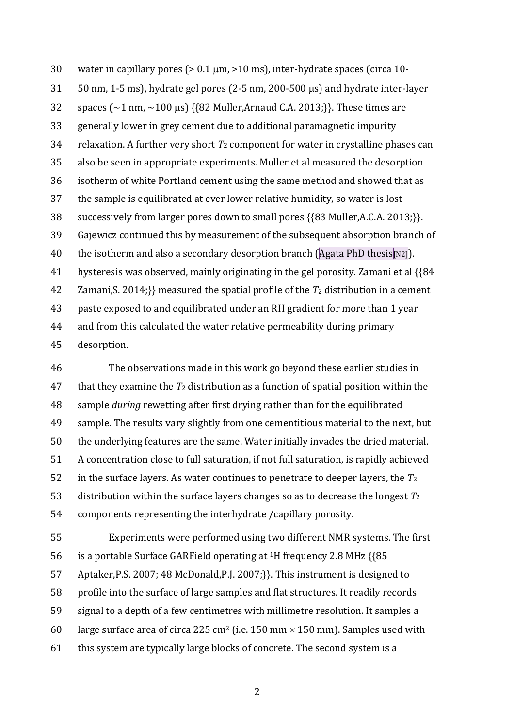30 water in capillary pores ( $> 0.1 \mu m$ ,  $> 10 \mu s$ ), inter-hydrate spaces (circa 10- $50 \text{ nm}$ , 1-5 ms), hydrate gel pores (2-5 nm, 200-500  $\mu$ s) and hydrate inter-layer 32 spaces  $({\sim}1 \text{ nm}, {\sim}100 \text{ \mu s})$  {{82 Muller,Arnaud C.A. 2013;}}. These times are generally lower in grey cement due to additional paramagnetic impurity relaxation. A further very short *T*<sup>2</sup> component for water in crystalline phases can also be seen in appropriate experiments. Muller et al measured the desorption isotherm of white Portland cement using the same method and showed that as the sample is equilibrated at ever lower relative humidity, so water is lost successively from larger pores down to small pores {{83 Muller,A.C.A. 2013;}}. Gajewicz continued this by measurement of the subsequent absorption branch of 40 the isotherm and also a secondary desorption branch (Agata PhD thesis [N2]). hysteresis was observed, mainly originating in the gel porosity. Zamani et al {{84 Zamani,S. 2014;}} measured the spatial profile of the *T*<sup>2</sup> distribution in a cement paste exposed to and equilibrated under an RH gradient for more than 1 year and from this calculated the water relative permeability during primary desorption.

 The observations made in this work go beyond these earlier studies in that they examine the *T*<sup>2</sup> distribution as a function of spatial position within the sample *during* rewetting after first drying rather than for the equilibrated sample. The results vary slightly from one cementitious material to the next, but the underlying features are the same. Water initially invades the dried material. A concentration close to full saturation, if not full saturation, is rapidly achieved in the surface layers. As water continues to penetrate to deeper layers, the *T*<sup>2</sup> distribution within the surface layers changes so as to decrease the longest *T*<sup>2</sup> components representing the interhydrate /capillary porosity.

 Experiments were performed using two different NMR systems. The first 56 is a portable Surface GARField operating at  $1H$  frequency 2.8 MHz  $\{85$  Aptaker,P.S. 2007; 48 McDonald,P.J. 2007;}}. This instrument is designed to profile into the surface of large samples and flat structures. It readily records signal to a depth of a few centimetres with millimetre resolution. It samples a 60 large surface area of circa 225 cm<sup>2</sup> (i.e. 150 mm  $\times$  150 mm). Samples used with this system are typically large blocks of concrete. The second system is a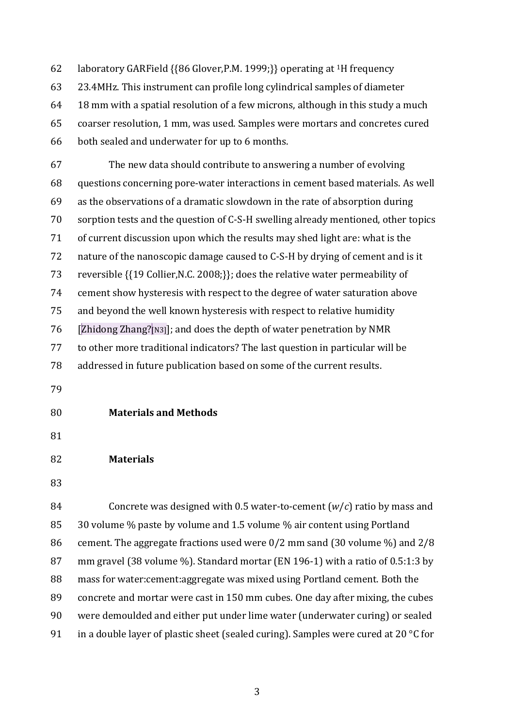62 laboratory GARField  $\{86 \text{ Glover}, P.M. 1999\}\}$  operating at <sup>1</sup>H frequency 23.4MHz. This instrument can profile long cylindrical samples of diameter 18 mm with a spatial resolution of a few microns, although in this study a much coarser resolution, 1 mm, was used. Samples were mortars and concretes cured both sealed and underwater for up to 6 months.

 The new data should contribute to answering a number of evolving questions concerning pore-water interactions in cement based materials. As well as the observations of a dramatic slowdown in the rate of absorption during sorption tests and the question of C-S-H swelling already mentioned, other topics of current discussion upon which the results may shed light are: what is the nature of the nanoscopic damage caused to C-S-H by drying of cement and is it reversible {{19 Collier,N.C. 2008;}}; does the relative water permeability of cement show hysteresis with respect to the degree of water saturation above and beyond the well known hysteresis with respect to relative humidity 76 [Zhidong Zhang? $[N3]$ ]; and does the depth of water penetration by NMR to other more traditional indicators? The last question in particular will be addressed in future publication based on some of the current results.

- 
- **Materials and Methods**
- 

### **Materials**

 Concrete was designed with 0.5 water-to-cement (*w*/*c*) ratio by mass and 30 volume % paste by volume and 1.5 volume % air content using Portland cement. The aggregate fractions used were 0/2 mm sand (30 volume %) and 2/8 mm gravel (38 volume %). Standard mortar (EN 196-1) with a ratio of 0.5:1:3 by mass for water:cement:aggregate was mixed using Portland cement. Both the concrete and mortar were cast in 150 mm cubes. One day after mixing, the cubes were demoulded and either put under lime water (underwater curing) or sealed 91 in a double layer of plastic sheet (sealed curing). Samples were cured at 20  $\degree$ C for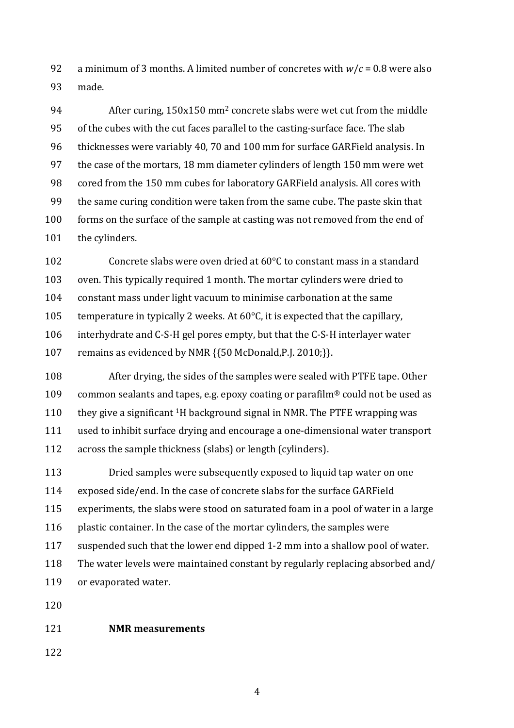92 a minimum of 3 months. A limited number of concretes with  $w/c = 0.8$  were also made.

94 After curing, 150x150 mm<sup>2</sup> concrete slabs were wet cut from the middle of the cubes with the cut faces parallel to the casting-surface face. The slab thicknesses were variably 40, 70 and 100 mm for surface GARField analysis. In the case of the mortars, 18 mm diameter cylinders of length 150 mm were wet cored from the 150 mm cubes for laboratory GARField analysis. All cores with the same curing condition were taken from the same cube. The paste skin that forms on the surface of the sample at casting was not removed from the end of the cylinders.

 Concrete slabs were oven dried at 60°C to constant mass in a standard oven. This typically required 1 month. The mortar cylinders were dried to constant mass under light vacuum to minimise carbonation at the same 105 temperature in typically 2 weeks. At  $60^{\circ}$ C, it is expected that the capillary, interhydrate and C-S-H gel pores empty, but that the C-S-H interlayer water remains as evidenced by NMR {{50 McDonald,P.J. 2010;}}.

 After drying, the sides of the samples were sealed with PTFE tape. Other 109 common sealants and tapes, e.g. epoxy coating or parafilm<sup>®</sup> could not be used as 110 they give a significant  ${}^{1}H$  background signal in NMR. The PTFE wrapping was used to inhibit surface drying and encourage a one-dimensional water transport across the sample thickness (slabs) or length (cylinders).

 Dried samples were subsequently exposed to liquid tap water on one exposed side/end. In the case of concrete slabs for the surface GARField experiments, the slabs were stood on saturated foam in a pool of water in a large plastic container. In the case of the mortar cylinders, the samples were suspended such that the lower end dipped 1-2 mm into a shallow pool of water. The water levels were maintained constant by regularly replacing absorbed and/ or evaporated water.

### **NMR measurements**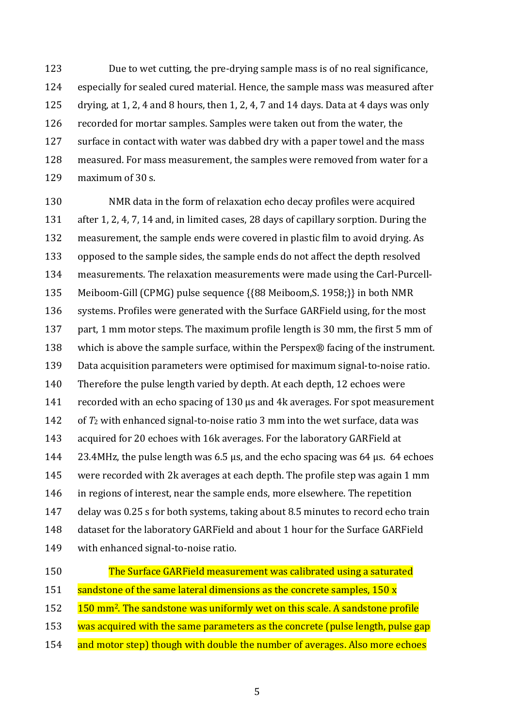Due to wet cutting, the pre-drying sample mass is of no real significance, especially for sealed cured material. Hence, the sample mass was measured after drying, at 1, 2, 4 and 8 hours, then 1, 2, 4, 7 and 14 days. Data at 4 days was only recorded for mortar samples. Samples were taken out from the water, the surface in contact with water was dabbed dry with a paper towel and the mass measured. For mass measurement, the samples were removed from water for a maximum of 30 s.

 NMR data in the form of relaxation echo decay profiles were acquired after 1, 2, 4, 7, 14 and, in limited cases, 28 days of capillary sorption. During the measurement, the sample ends were covered in plastic film to avoid drying. As opposed to the sample sides, the sample ends do not affect the depth resolved measurements. The relaxation measurements were made using the Carl-Purcell- Meiboom-Gill (CPMG) pulse sequence {{88 Meiboom,S. 1958;}} in both NMR systems. Profiles were generated with the Surface GARField using, for the most part, 1 mm motor steps. The maximum profile length is 30 mm, the first 5 mm of which is above the sample surface, within the Perspex® facing of the instrument. Data acquisition parameters were optimised for maximum signal-to-noise ratio. Therefore the pulse length varied by depth. At each depth, 12 echoes were recorded with an echo spacing of 130 μs and 4k averages. For spot measurement of *T*<sup>2</sup> with enhanced signal-to-noise ratio 3 mm into the wet surface, data was acquired for 20 echoes with 16k averages. For the laboratory GARField at 23.4MHz, the pulse length was 6.5 μs, and the echo spacing was 64 μs. 64 echoes were recorded with 2k averages at each depth. The profile step was again 1 mm in regions of interest, near the sample ends, more elsewhere. The repetition delay was 0.25 s for both systems, taking about 8.5 minutes to record echo train dataset for the laboratory GARField and about 1 hour for the Surface GARField with enhanced signal-to-noise ratio.

- 
- The Surface GARField measurement was calibrated using a saturated 151 sandstone of the same lateral dimensions as the concrete samples, 150 x
- 152 150 mm<sup>2</sup>. The sandstone was uniformly wet on this scale. A sandstone profile
- 153 was acquired with the same parameters as the concrete (pulse length, pulse gap
- 154 and motor step) though with double the number of averages. Also more echoes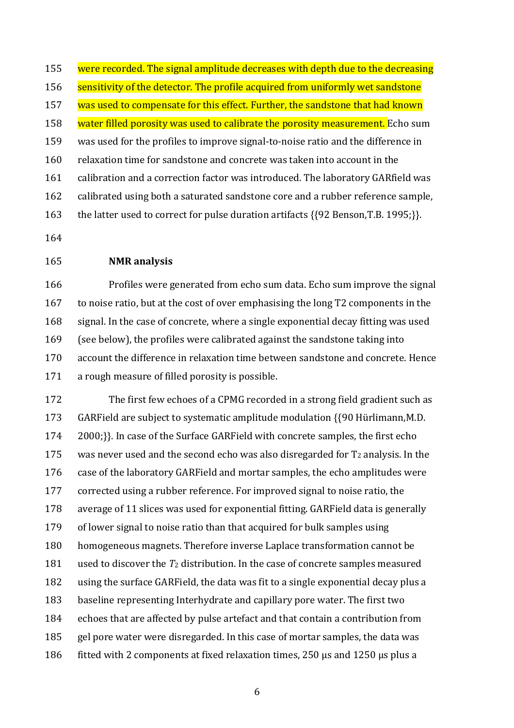155 were recorded. The signal amplitude decreases with depth due to the decreasing 156 sensitivity of the detector. The profile acquired from uniformly wet sandstone 157 was used to compensate for this effect. Further, the sandstone that had known 158 water filled porosity was used to calibrate the porosity measurement. Echo sum was used for the profiles to improve signal-to-noise ratio and the difference in relaxation time for sandstone and concrete was taken into account in the calibration and a correction factor was introduced. The laboratory GARfield was calibrated using both a saturated sandstone core and a rubber reference sample, the latter used to correct for pulse duration artifacts {{92 Benson,T.B. 1995;}}.

## **NMR analysis**

 Profiles were generated from echo sum data. Echo sum improve the signal to noise ratio, but at the cost of over emphasising the long T2 components in the signal. In the case of concrete, where a single exponential decay fitting was used (see below), the profiles were calibrated against the sandstone taking into account the difference in relaxation time between sandstone and concrete. Hence a rough measure of filled porosity is possible.

 The first few echoes of a CPMG recorded in a strong field gradient such as GARField are subject to systematic amplitude modulation {{90 Hürlimann,M.D. 2000;}}. In case of the Surface GARField with concrete samples, the first echo 175 was never used and the second echo was also disregarded for  $T_2$  analysis. In the case of the laboratory GARField and mortar samples, the echo amplitudes were corrected using a rubber reference. For improved signal to noise ratio, the average of 11 slices was used for exponential fitting. GARField data is generally of lower signal to noise ratio than that acquired for bulk samples using homogeneous magnets. Therefore inverse Laplace transformation cannot be used to discover the *T*<sup>2</sup> distribution. In the case of concrete samples measured using the surface GARField, the data was fit to a single exponential decay plus a baseline representing Interhydrate and capillary pore water. The first two echoes that are affected by pulse artefact and that contain a contribution from gel pore water were disregarded. In this case of mortar samples, the data was 186 fitted with 2 components at fixed relaxation times, 250  $\mu$ s and 1250  $\mu$ s plus a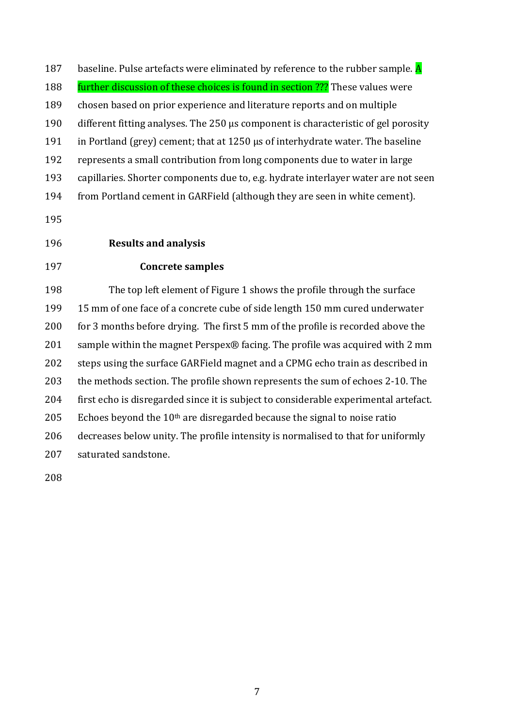187 baseline. Pulse artefacts were eliminated by reference to the rubber sample.  $\overline{A}$ 188 further discussion of these choices is found in section ??? These values were chosen based on prior experience and literature reports and on multiple different fitting analyses. The 250 μs component is characteristic of gel porosity in Portland (grey) cement; that at 1250 μs of interhydrate water. The baseline represents a small contribution from long components due to water in large capillaries. Shorter components due to, e.g. hydrate interlayer water are not seen from Portland cement in GARField (although they are seen in white cement).

# **Results and analysis**

## **Concrete samples**

 The top left element of Figure 1 shows the profile through the surface 15 mm of one face of a concrete cube of side length 150 mm cured underwater for 3 months before drying. The first 5 mm of the profile is recorded above the sample within the magnet Perspex® facing. The profile was acquired with 2 mm steps using the surface GARField magnet and a CPMG echo train as described in the methods section. The profile shown represents the sum of echoes 2-10. The first echo is disregarded since it is subject to considerable experimental artefact. 205 Echoes beyond the  $10<sup>th</sup>$  are disregarded because the signal to noise ratio decreases below unity. The profile intensity is normalised to that for uniformly saturated sandstone.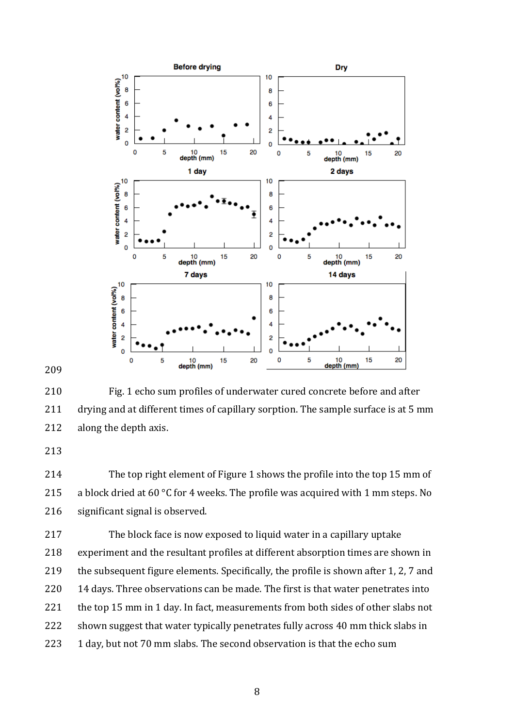



 Fig. 1 echo sum profiles of underwater cured concrete before and after drying and at different times of capillary sorption. The sample surface is at 5 mm along the depth axis.

 The top right element of Figure 1 shows the profile into the top 15 mm of 215 a block dried at 60 °C for 4 weeks. The profile was acquired with 1 mm steps. No significant signal is observed.

 The block face is now exposed to liquid water in a capillary uptake experiment and the resultant profiles at different absorption times are shown in the subsequent figure elements. Specifically, the profile is shown after 1, 2, 7 and 14 days. Three observations can be made. The first is that water penetrates into the top 15 mm in 1 day. In fact, measurements from both sides of other slabs not shown suggest that water typically penetrates fully across 40 mm thick slabs in 223 1 day, but not 70 mm slabs. The second observation is that the echo sum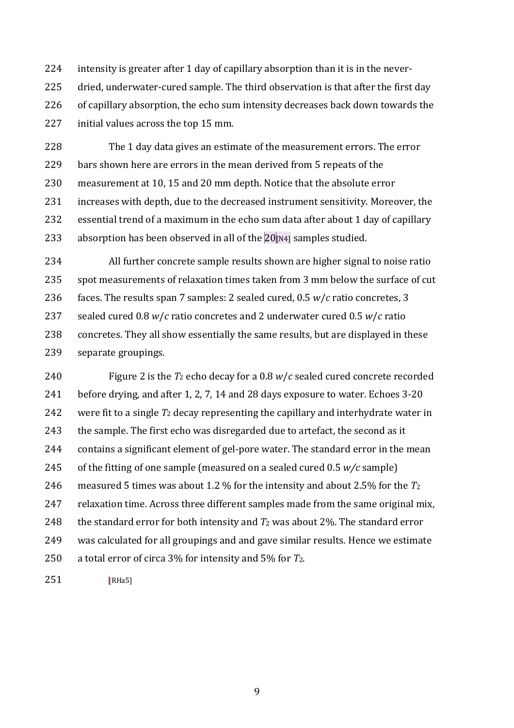intensity is greater after 1 day of capillary absorption than it is in the never- dried, underwater-cured sample. The third observation is that after the first day of capillary absorption, the echo sum intensity decreases back down towards the initial values across the top 15 mm.

 The 1 day data gives an estimate of the measurement errors. The error bars shown here are errors in the mean derived from 5 repeats of the measurement at 10, 15 and 20 mm depth. Notice that the absolute error increases with depth, due to the decreased instrument sensitivity. Moreover, the essential trend of a maximum in the echo sum data after about 1 day of capillary 233 absorption has been observed in all of the [N4] samples studied.

 All further concrete sample results shown are higher signal to noise ratio spot measurements of relaxation times taken from 3 mm below the surface of cut faces. The results span 7 samples: 2 sealed cured, 0.5 *w*/*c* ratio concretes, 3 sealed cured 0.8 *w*/*c* ratio concretes and 2 underwater cured 0.5 *w*/*c* ratio concretes. They all show essentially the same results, but are displayed in these separate groupings.

 Figure 2 is the *T*<sup>2</sup> echo decay for a 0.8 *w*/*c* sealed cured concrete recorded before drying, and after 1, 2, 7, 14 and 28 days exposure to water. Echoes 3-20 were fit to a single *T*<sup>2</sup> decay representing the capillary and interhydrate water in 243 the sample. The first echo was disregarded due to artefact, the second as it contains a significant element of gel-pore water. The standard error in the mean of the fitting of one sample (measured on a sealed cured 0.5 *w/c* sample) measured 5 times was about 1.2 % for the intensity and about 2.5% for the *T*<sup>2</sup> relaxation time. Across three different samples made from the same original mix, the standard error for both intensity and *T*<sup>2</sup> was about 2%. The standard error was calculated for all groupings and and gave similar results. Hence we estimate a total error of circa 3% for intensity and 5% for *T*2.

251 [RHa5]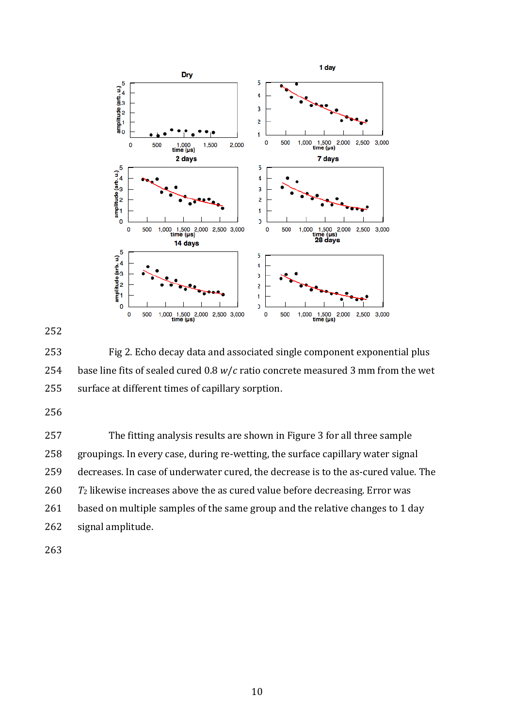

 Fig 2. Echo decay data and associated single component exponential plus base line fits of sealed cured 0.8 *w*/*c* ratio concrete measured 3 mm from the wet surface at different times of capillary sorption.

 The fitting analysis results are shown in Figure 3 for all three sample groupings. In every case, during re-wetting, the surface capillary water signal decreases. In case of underwater cured, the decrease is to the as-cured value. The *T*<sup>2</sup> likewise increases above the as cured value before decreasing. Error was 261 based on multiple samples of the same group and the relative changes to 1 day signal amplitude.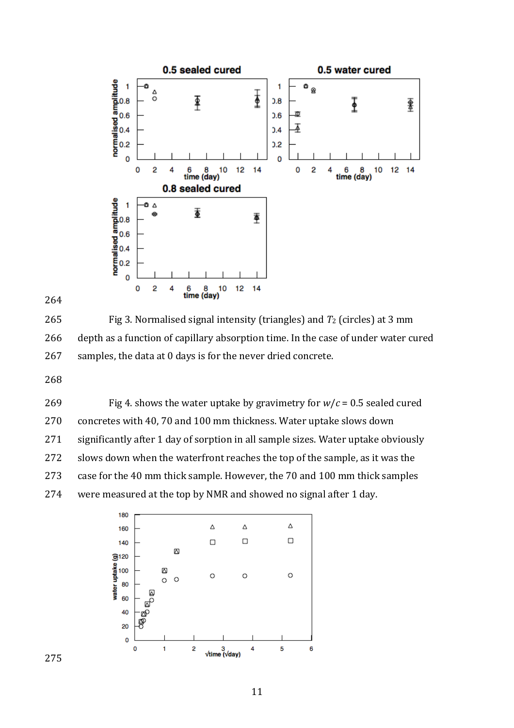



 Fig 3. Normalised signal intensity (triangles) and *T*<sup>2</sup> (circles) at 3 mm depth as a function of capillary absorption time. In the case of under water cured samples, the data at 0 days is for the never dried concrete.

269 Fig 4. shows the water uptake by gravimetry for  $w/c = 0.5$  sealed cured concretes with 40, 70 and 100 mm thickness. Water uptake slows down significantly after 1 day of sorption in all sample sizes. Water uptake obviously slows down when the waterfront reaches the top of the sample, as it was the case for the 40 mm thick sample. However, the 70 and 100 mm thick samples were measured at the top by NMR and showed no signal after 1 day.

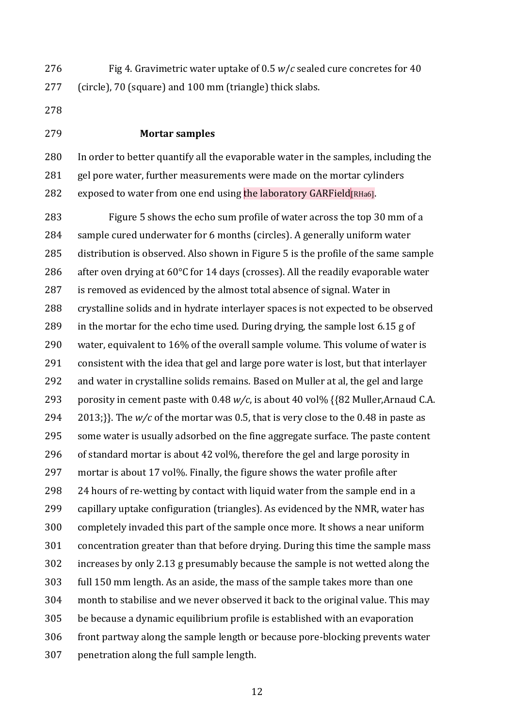Fig 4. Gravimetric water uptake of 0.5 *w*/*c* sealed cure concretes for 40 (circle), 70 (square) and 100 mm (triangle) thick slabs.

#### **Mortar samples**

 In order to better quantify all the evaporable water in the samples, including the 281 gel pore water, further measurements were made on the mortar cylinders 282 exposed to water from one end using the laboratory GARField  $RHA6$ .

 Figure 5 shows the echo sum profile of water across the top 30 mm of a sample cured underwater for 6 months (circles). A generally uniform water distribution is observed. Also shown in Figure 5 is the profile of the same sample 286 after oven drying at  $60^{\circ}$ C for 14 days (crosses). All the readily evaporable water is removed as evidenced by the almost total absence of signal. Water in crystalline solids and in hydrate interlayer spaces is not expected to be observed in the mortar for the echo time used. During drying, the sample lost 6.15 g of water, equivalent to 16% of the overall sample volume. This volume of water is consistent with the idea that gel and large pore water is lost, but that interlayer and water in crystalline solids remains. Based on Muller at al, the gel and large porosity in cement paste with 0.48 *w/c*, is about 40 vol% {{82 Muller,Arnaud C.A. 2013;}}. The *w/c* of the mortar was 0.5, that is very close to the 0.48 in paste as some water is usually adsorbed on the fine aggregate surface. The paste content of standard mortar is about 42 vol%, therefore the gel and large porosity in mortar is about 17 vol%. Finally, the figure shows the water profile after 24 hours of re-wetting by contact with liquid water from the sample end in a capillary uptake configuration (triangles). As evidenced by the NMR, water has completely invaded this part of the sample once more. It shows a near uniform concentration greater than that before drying. During this time the sample mass increases by only 2.13 g presumably because the sample is not wetted along the full 150 mm length. As an aside, the mass of the sample takes more than one month to stabilise and we never observed it back to the original value. This may be because a dynamic equilibrium profile is established with an evaporation front partway along the sample length or because pore-blocking prevents water penetration along the full sample length.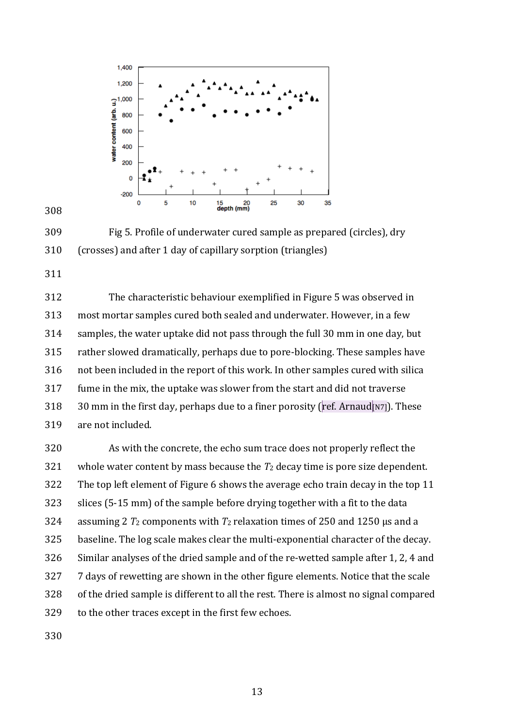

 Fig 5. Profile of underwater cured sample as prepared (circles), dry (crosses) and after 1 day of capillary sorption (triangles)

 The characteristic behaviour exemplified in Figure 5 was observed in most mortar samples cured both sealed and underwater. However, in a few samples, the water uptake did not pass through the full 30 mm in one day, but rather slowed dramatically, perhaps due to pore-blocking. These samples have not been included in the report of this work. In other samples cured with silica fume in the mix, the uptake was slower from the start and did not traverse 318 30 mm in the first day, perhaps due to a finer porosity (ref. Arnaud [N7]). These are not included.

 As with the concrete, the echo sum trace does not properly reflect the whole water content by mass because the *T*<sup>2</sup> decay time is pore size dependent. The top left element of Figure 6 shows the average echo train decay in the top 11 slices (5-15 mm) of the sample before drying together with a fit to the data assuming 2 *T*<sup>2</sup> components with *T*<sup>2</sup> relaxation times of 250 and 1250 µs and a baseline. The log scale makes clear the multi-exponential character of the decay. Similar analyses of the dried sample and of the re-wetted sample after 1, 2, 4 and 7 days of rewetting are shown in the other figure elements. Notice that the scale of the dried sample is different to all the rest. There is almost no signal compared to the other traces except in the first few echoes.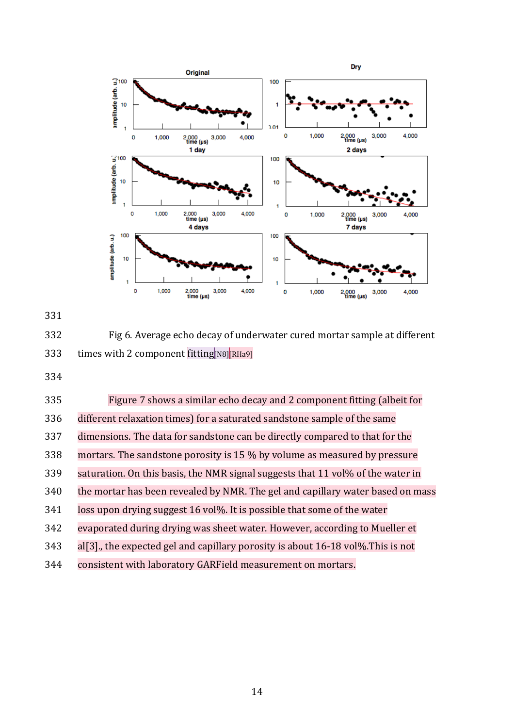



 Fig 6. Average echo decay of underwater cured mortar sample at different 333 times with 2 component fitting[N8][RHa9]

| 335 | Figure 7 shows a similar echo decay and 2 component fitting (albeit for           |
|-----|-----------------------------------------------------------------------------------|
| 336 | different relaxation times) for a saturated sandstone sample of the same          |
| 337 | dimensions. The data for sandstone can be directly compared to that for the       |
| 338 | mortars. The sandstone porosity is 15 % by volume as measured by pressure         |
| 339 | saturation. On this basis, the NMR signal suggests that 11 vol% of the water in   |
| 340 | the mortar has been revealed by NMR. The gel and capillary water based on mass    |
| 341 | loss upon drying suggest 16 vol%. It is possible that some of the water           |
| 342 | evaporated during drying was sheet water. However, according to Mueller et        |
| 343 | al[3], the expected gel and capillary porosity is about $16-18$ vol%. This is not |
| 344 | consistent with laboratory GARField measurement on mortars.                       |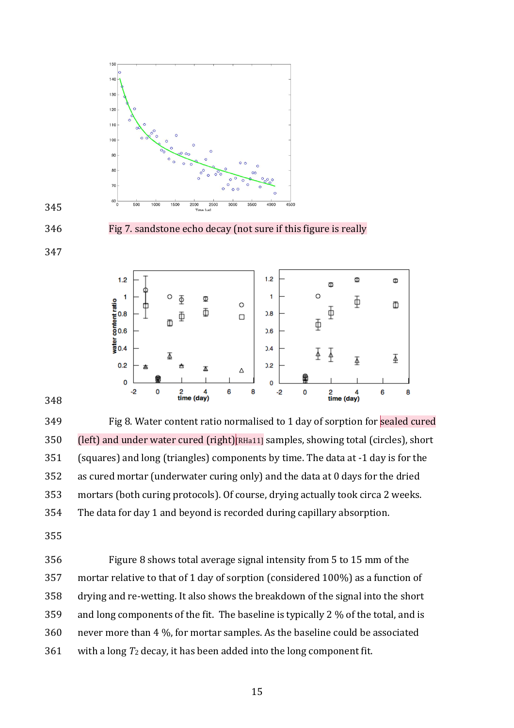

Fig 7. sandstone echo decay (not sure if this figure is really





349 Fig 8. Water content ratio normalised to 1 day of sorption for sealed cured (left) and under water cured (right)[RHa11] samples, showing total (circles), short (squares) and long (triangles) components by time. The data at -1 day is for the as cured mortar (underwater curing only) and the data at 0 days for the dried mortars (both curing protocols). Of course, drying actually took circa 2 weeks. The data for day 1 and beyond is recorded during capillary absorption.

 Figure 8 shows total average signal intensity from 5 to 15 mm of the mortar relative to that of 1 day of sorption (considered 100%) as a function of drying and re-wetting. It also shows the breakdown of the signal into the short and long components of the fit. The baseline is typically 2 % of the total, and is never more than 4 %, for mortar samples. As the baseline could be associated with a long *T*<sup>2</sup> decay, it has been added into the long component fit.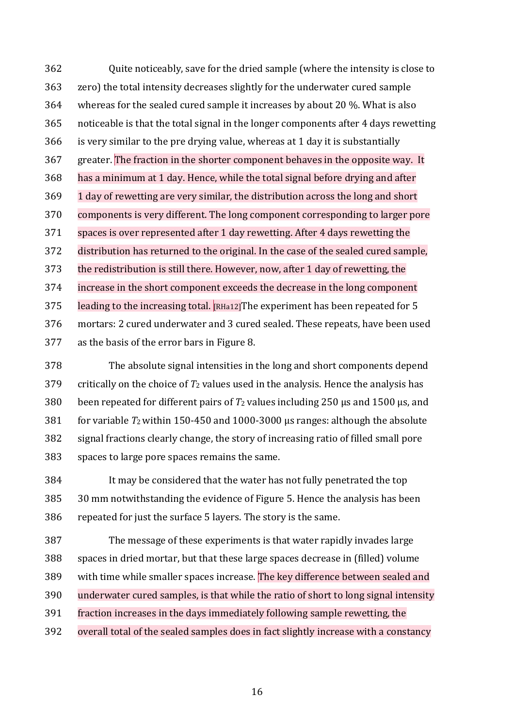Quite noticeably, save for the dried sample (where the intensity is close to zero) the total intensity decreases slightly for the underwater cured sample whereas for the sealed cured sample it increases by about 20 %. What is also noticeable is that the total signal in the longer components after 4 days rewetting is very similar to the pre drying value, whereas at 1 day it is substantially greater. The fraction in the shorter component behaves in the opposite way. It has a minimum at 1 day. Hence, while the total signal before drying and after 1 day of rewetting are very similar, the distribution across the long and short components is very different. The long component corresponding to larger pore spaces is over represented after 1 day rewetting. After 4 days rewetting the distribution has returned to the original. In the case of the sealed cured sample, the redistribution is still there. However, now, after 1 day of rewetting, the increase in the short component exceeds the decrease in the long component 375 leading to the increasing total. [RHa12] The experiment has been repeated for 5 mortars: 2 cured underwater and 3 cured sealed. These repeats, have been used as the basis of the error bars in Figure 8.

 The absolute signal intensities in the long and short components depend 379 critically on the choice of  $T_2$  values used in the analysis. Hence the analysis has 380 been repeated for different pairs of  $T_2$  values including 250  $\mu$ s and 1500  $\mu$ s, and for variable *T*2within 150-450 and 1000-3000 µs ranges: although the absolute signal fractions clearly change, the story of increasing ratio of filled small pore spaces to large pore spaces remains the same.

 It may be considered that the water has not fully penetrated the top 30 mm notwithstanding the evidence of Figure 5. Hence the analysis has been repeated for just the surface 5 layers. The story is the same.

 The message of these experiments is that water rapidly invades large spaces in dried mortar, but that these large spaces decrease in (filled) volume with time while smaller spaces increase. The key difference between sealed and underwater cured samples, is that while the ratio of short to long signal intensity fraction increases in the days immediately following sample rewetting, the overall total of the sealed samples does in fact slightly increase with a constancy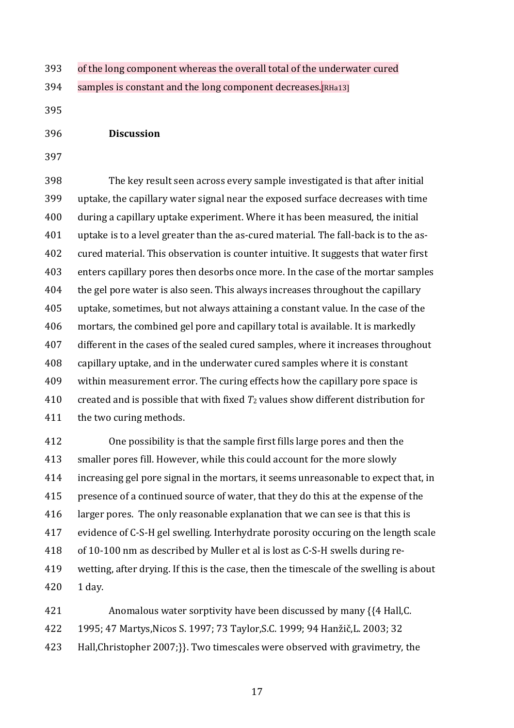of the long component whereas the overall total of the underwater cured

394 samples is constant and the long component decreases. RHa13]

- **Discussion**
- 

 The key result seen across every sample investigated is that after initial uptake, the capillary water signal near the exposed surface decreases with time during a capillary uptake experiment. Where it has been measured, the initial uptake is to a level greater than the as-cured material. The fall-back is to the as- cured material. This observation is counter intuitive. It suggests that water first enters capillary pores then desorbs once more. In the case of the mortar samples the gel pore water is also seen. This always increases throughout the capillary uptake, sometimes, but not always attaining a constant value. In the case of the mortars, the combined gel pore and capillary total is available. It is markedly different in the cases of the sealed cured samples, where it increases throughout capillary uptake, and in the underwater cured samples where it is constant within measurement error. The curing effects how the capillary pore space is created and is possible that with fixed *T*<sup>2</sup> values show different distribution for 411 the two curing methods.

 One possibility is that the sample first fills large pores and then the smaller pores fill. However, while this could account for the more slowly increasing gel pore signal in the mortars, it seems unreasonable to expect that, in presence of a continued source of water, that they do this at the expense of the larger pores. The only reasonable explanation that we can see is that this is evidence of C-S-H gel swelling. Interhydrate porosity occuring on the length scale of 10-100 nm as described by Muller et al is lost as C-S-H swells during re- wetting, after drying. If this is the case, then the timescale of the swelling is about 1 day.

 Anomalous water sorptivity have been discussed by many {{4 Hall,C. 1995; 47 Martys,Nicos S. 1997; 73 Taylor,S.C. 1999; 94 Hanžič,L. 2003; 32 Hall,Christopher 2007;}}. Two timescales were observed with gravimetry, the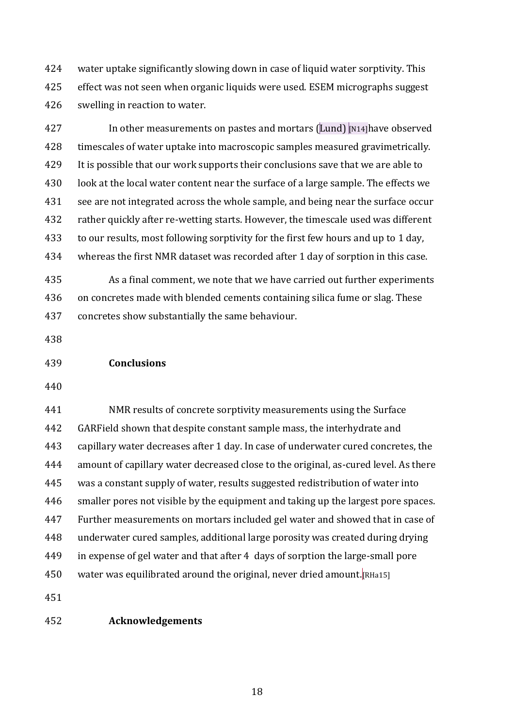water uptake significantly slowing down in case of liquid water sorptivity. This effect was not seen when organic liquids were used. ESEM micrographs suggest swelling in reaction to water.

427 In other measurements on pastes and mortars (Lund) [N14] have observed timescales of water uptake into macroscopic samples measured gravimetrically. It is possible that our work supports their conclusions save that we are able to 430 look at the local water content near the surface of a large sample. The effects we see are not integrated across the whole sample, and being near the surface occur rather quickly after re-wetting starts. However, the timescale used was different to our results, most following sorptivity for the first few hours and up to 1 day, whereas the first NMR dataset was recorded after 1 day of sorption in this case.

 As a final comment, we note that we have carried out further experiments on concretes made with blended cements containing silica fume or slag. These concretes show substantially the same behaviour.

- **Conclusions**
- 

 NMR results of concrete sorptivity measurements using the Surface GARField shown that despite constant sample mass, the interhydrate and capillary water decreases after 1 day. In case of underwater cured concretes, the amount of capillary water decreased close to the original, as-cured level. As there was a constant supply of water, results suggested redistribution of water into smaller pores not visible by the equipment and taking up the largest pore spaces. Further measurements on mortars included gel water and showed that in case of underwater cured samples, additional large porosity was created during drying in expense of gel water and that after 4 days of sorption the large-small pore water was equilibrated around the original, never dried amount.[RHa15]

## **Acknowledgements**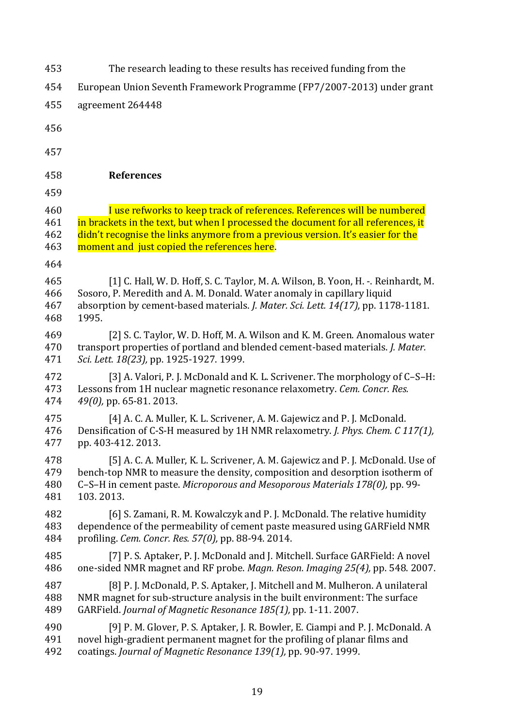| 453 | The research leading to these results has received funding from the               |
|-----|-----------------------------------------------------------------------------------|
| 454 | European Union Seventh Framework Programme (FP7/2007-2013) under grant            |
| 455 | agreement 264448                                                                  |
| 456 |                                                                                   |
| 457 |                                                                                   |
| 458 | <b>References</b>                                                                 |
| 459 |                                                                                   |
| 460 | I use refworks to keep track of references. References will be numbered           |
| 461 | in brackets in the text, but when I processed the document for all references, it |
| 462 | didn't recognise the links anymore from a previous version. It's easier for the   |
| 463 | moment and just copied the references here.                                       |
| 464 |                                                                                   |
| 465 | [1] C. Hall, W. D. Hoff, S. C. Taylor, M. A. Wilson, B. Yoon, H. -. Reinhardt, M. |
| 466 | Sosoro, P. Meredith and A. M. Donald. Water anomaly in capillary liquid           |
| 467 | absorption by cement-based materials. J. Mater. Sci. Lett. 14(17), pp. 1178-1181. |
| 468 | 1995.                                                                             |
| 469 | [2] S. C. Taylor, W. D. Hoff, M. A. Wilson and K. M. Green. Anomalous water       |
| 470 | transport properties of portland and blended cement-based materials. J. Mater.    |
| 471 | Sci. Lett. 18(23), pp. 1925-1927. 1999.                                           |
| 472 | [3] A. Valori, P. J. McDonald and K. L. Scrivener. The morphology of C-S-H:       |
| 473 | Lessons from 1H nuclear magnetic resonance relaxometry. Cem. Concr. Res.          |
| 474 | $49(0)$ , pp. 65-81. 2013.                                                        |
| 475 | [4] A. C. A. Muller, K. L. Scrivener, A. M. Gajewicz and P. J. McDonald.          |
| 476 | Densification of C-S-H measured by 1H NMR relaxometry. J. Phys. Chem. C 117(1),   |
| 477 | pp. 403-412. 2013.                                                                |
| 478 | [5] A. C. A. Muller, K. L. Scrivener, A. M. Gajewicz and P. J. McDonald. Use of   |
| 479 | bench-top NMR to measure the density, composition and desorption isotherm of      |
| 480 | C-S-H in cement paste. Microporous and Mesoporous Materials 178(0), pp. 99-       |
| 481 | 103.2013.                                                                         |
| 482 | [6] S. Zamani, R. M. Kowalczyk and P. J. McDonald. The relative humidity          |
| 483 | dependence of the permeability of cement paste measured using GARField NMR        |
| 484 | profiling. Cem. Concr. Res. 57(0), pp. 88-94. 2014.                               |
| 485 | [7] P. S. Aptaker, P. J. McDonald and J. Mitchell. Surface GARField: A novel      |
| 486 | one-sided NMR magnet and RF probe. Magn. Reson. Imaging 25(4), pp. 548. 2007.     |
| 487 | [8] P. J. McDonald, P. S. Aptaker, J. Mitchell and M. Mulheron. A unilateral      |
| 488 | NMR magnet for sub-structure analysis in the built environment: The surface       |
| 489 | GARField. Journal of Magnetic Resonance 185(1), pp. 1-11. 2007.                   |
| 490 | [9] P. M. Glover, P. S. Aptaker, J. R. Bowler, E. Ciampi and P. J. McDonald. A    |
| 491 | novel high-gradient permanent magnet for the profiling of planar films and        |
| 492 | coatings. Journal of Magnetic Resonance 139(1), pp. 90-97. 1999.                  |